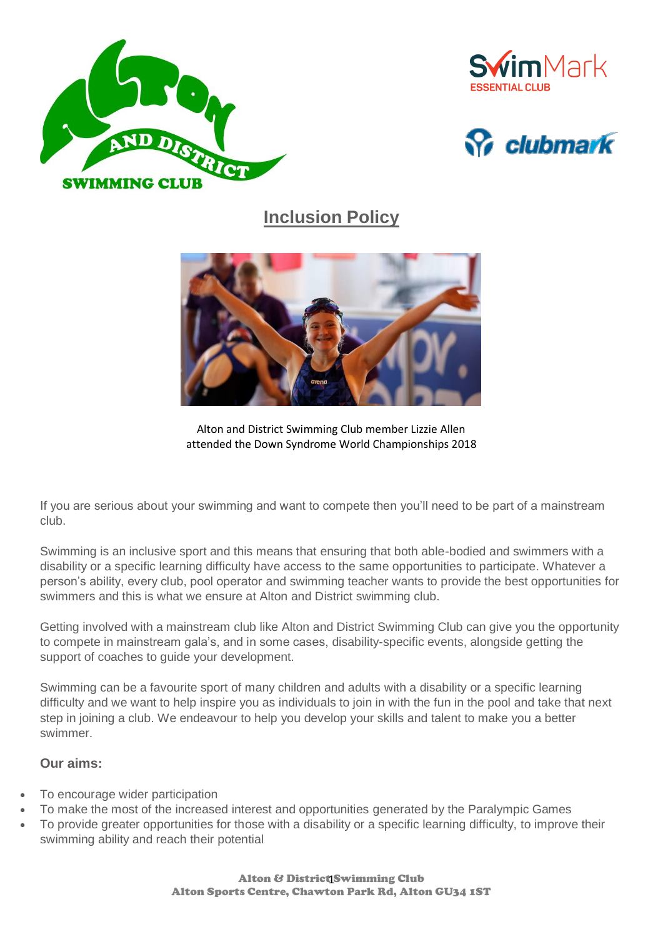





## **Inclusion Policy**



Alton and District Swimming Club member Lizzie Allen attended the Down Syndrome World Championships 2018

If you are serious about your swimming and want to compete then you'll need to be part of a mainstream club.

Swimming is an inclusive sport and this means that ensuring that both able-bodied and swimmers with a disability or a specific learning difficulty have access to the same opportunities to participate. Whatever a person's ability, every club, pool operator and swimming teacher wants to provide the best opportunities for swimmers and this is what we ensure at Alton and District swimming club.

Getting involved with a mainstream club like Alton and District Swimming Club can give you the opportunity to compete in mainstream gala's, and in some cases, disability-specific events, alongside getting the support of coaches to guide your development.

Swimming can be a favourite sport of many children and adults with a disability or a specific learning difficulty and we want to help inspire you as individuals to join in with the fun in the pool and take that next step in joining a club. We endeavour to help you develop your skills and talent to make you a better swimmer.

## **Our aims:**

- To encourage wider participation
- To make the most of the increased interest and opportunities generated by the Paralympic Games
- To provide greater opportunities for those with a disability or a specific learning difficulty, to improve their swimming ability and reach their potential